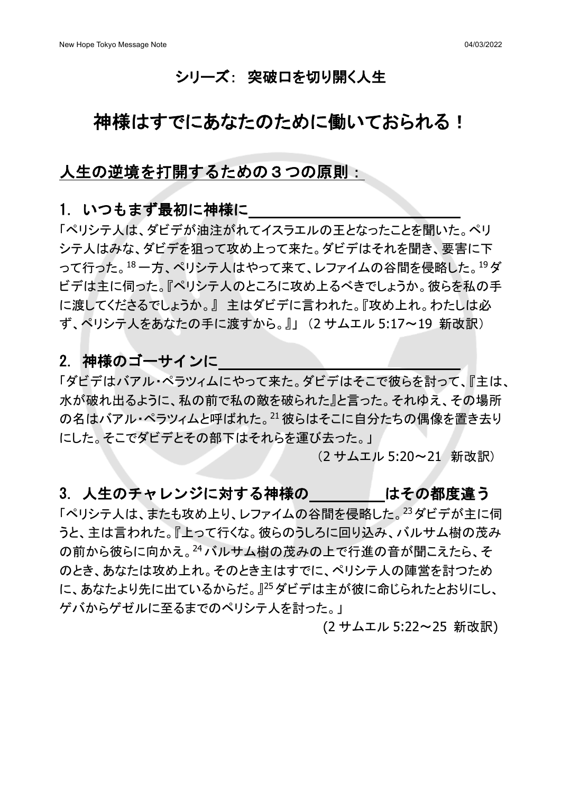## シリーズ: 突破口を切り開く人生

# 神様はすでにあなたのために働いておられる!

## 人生の逆境を打開するための3つの原則:

## 1. いつもまず最初に神様に

「ペリシテ人は、ダビデが油注がれてイスラエルの王となったことを聞いた。ペリ シテ人はみな、ダビデを狙って攻め上って来た。ダビデはそれを聞き、要害に下 って行った。<sup>18</sup>一方、ペリシテ人はやって来て、レファイムの谷間を侵略した。<sup>19</sup> ダ ビデは主に伺った。『ペリシテ人のところに攻め上るべきでしょうか。彼らを私の手 に渡してくださるでしょうか。』 主はダビデに言われた。『攻め上れ。わたしは必 ず、ペリシテ人をあなたの手に渡すから。』」 (2 サムエル 5:17~19 新改訳)

## 2. 神様のゴーサインに

「ダビデはバアル・ペラツィムにやって来た。ダビデはそこで彼らを討って、『主は、 水が破れ出るように、私の前で私の敵を破られた』と言った。それゆえ、その場所 の名はバアル・ペラツィムと呼ばれた。21彼らはそこに自分たちの偶像を置き去り にした。そこでダビデとその部下はそれらを運び去った。」

(2 サムエル 5:20~21 新改訳)

## 3. 人生のチャレンジに対する神様の はその都度違う

「ペリシテ人は、またも攻め上り、レファイムの谷間を侵略した。23ダビデが主に伺 うと、主は言われた。『上って行くな。彼らのうしろに回り込み、バルサム樹の茂み の前から彼らに向かえ。24バルサム樹の茂みの上で行進の音が聞こえたら、そ のとき、あなたは攻め上れ。そのとき主はすでに、ペリシテ人の陣営を討つため に、あなたより先に出ているからだ。』<sup>25</sup> ダビデは主が彼に命じられたとおりにし、 ゲバからゲゼルに至るまでのペリシテ人を討った。」

(2 サムエル 5:22~25 新改訳)